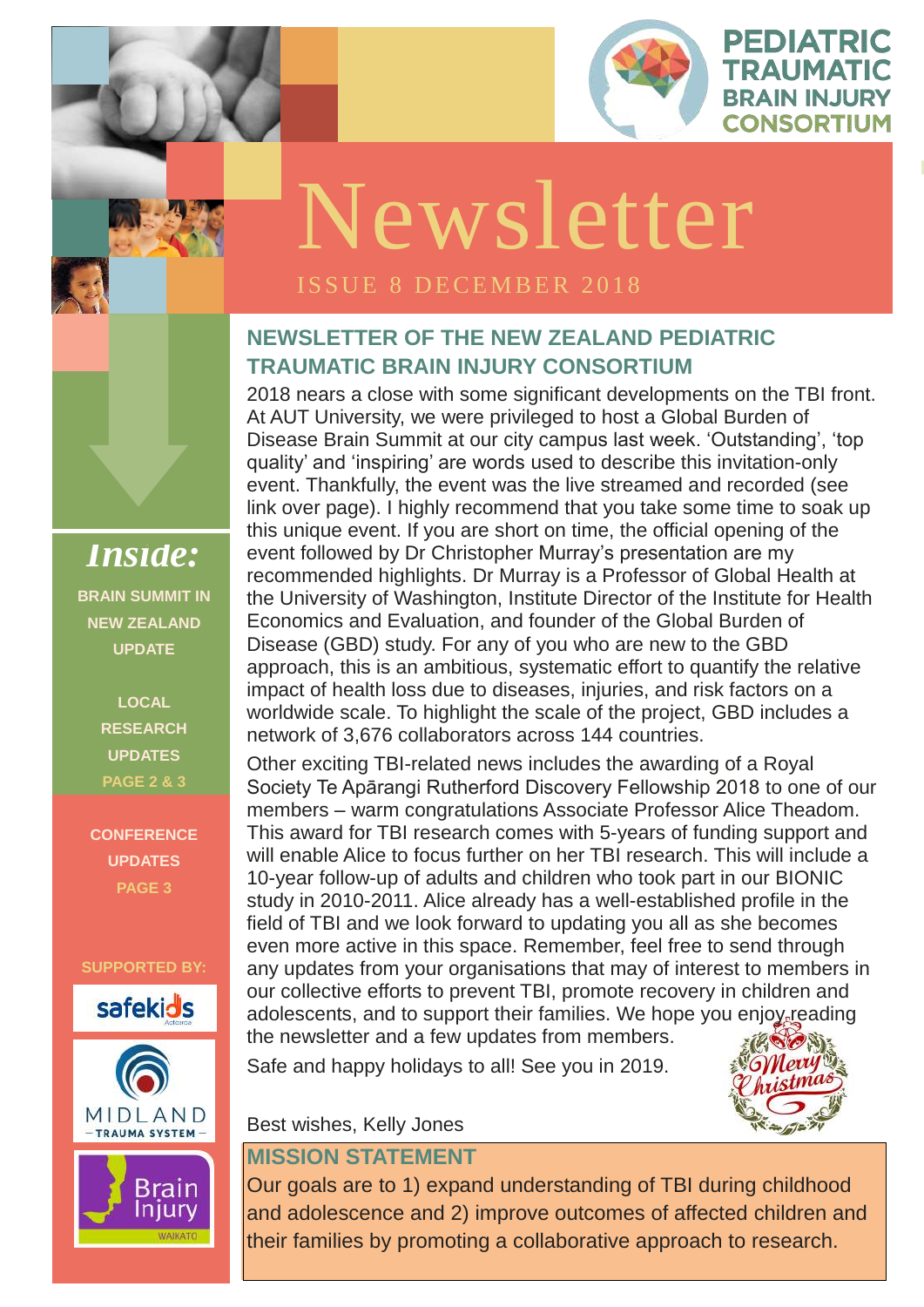

PEDIATRIC

TRAUMATIC

**BRAIN INJURY** 

**CONSORTIUM** 

**ISSUE 1 OCTOBER** 

## **NEWSLETTER OF THE NEW ZEALAND PEDIATRIC TRAUMATIC BRAIN INJURY CONSORTIUM**

2018 nears a close with some significant developments on the TBI front. At AUT University, we were privileged to host a Global Burden of Disease Brain Summit at our city campus last week. 'Outstanding', 'top quality' and 'inspiring' are words used to describe this invitation-only event. Thankfully, the event was the live streamed and recorded (see link over page). I highly recommend that you take some time to soak up this unique event. If you are short on time, the official opening of the event followed by Dr Christopher Murray's presentation are my recommended highlights. Dr Murray is a Professor of Global Health at the University of Washington, Institute Director of the Institute for Health Economics and Evaluation, and founder of the Global Burden of Disease (GBD) study. For any of you who are new to the GBD approach, this is an ambitious, systematic effort to quantify the relative impact of health loss due to diseases, injuries, and risk factors on a worldwide scale. To highlight the scale of the project, GBD includes a network of 3,676 collaborators across 144 countries.

*LOGO* will enable Alice to focus further on her TBI research. This will include a 10-year follow-up of adults and children who took part in our BIONIC Other exciting TBI-related news includes the awarding of a Royal Society Te Apārangi Rutherford Discovery Fellowship 2018 to one of our members – warm congratulations Associate Professor Alice Theadom. This award for TBI research comes with 5-years of funding support and study in 2010-2011. Alice already has a well-established profile in the field of TBI and we look forward to updating you all as she becomes even more active in this space. Remember, feel free to send through any updates from your organisations that may of interest to members in our collective efforts to prevent TBI, promote recovery in children and adolescents, and to support their families. We hope you enjoy reading the newsletter and a few updates from members.

Safe and happy holidays to all! See you in 2019.



Best wishes, Kelly Jones

### **MISSION STATEMENT**

Our goals are to 1) expand understanding of TBI during childhood and adolescence and 2) improve outcomes of affected children and their families by promoting a collaborative approach to research.

*Inside:* **BRAIN SUMMIT IN NEW ZEALAND UPDATE**

> **LOCAL RESEARCH UPDATES PAGE 2 & 3**

**CONFERENCE UPDATES PAGE 3**

**SUPPORTED BY:**





Brain Injury WAIKATO

# Newsletter

### ISSUE 8 DECEMBER 2018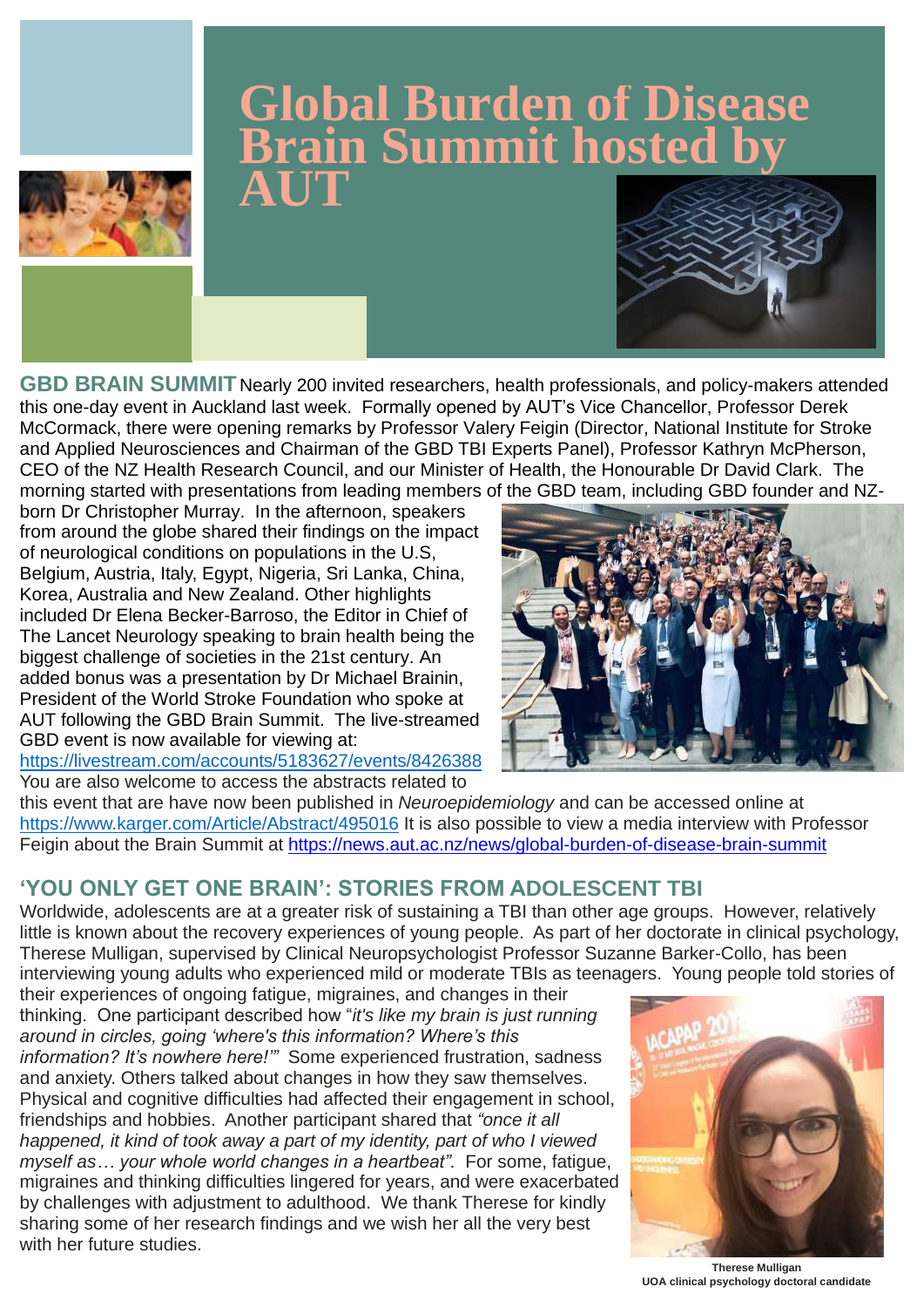**GBD BRAIN SUMMIT** Nearly 200 invited researchers, health professionals, and policy-makers attended this one-day event in Auckland last week. Formally opened by AUT's Vice Chancellor, Professor Derek McCormack, there were opening remarks by Professor Valery Feigin (Director, National Institute for Stroke and Applied Neurosciences and Chairman of the GBD TBI Experts Panel), Professor Kathryn McPherson, CEO of the NZ Health Research Council, and our Minister of Health, the Honourable Dr David Clark. The morning started with presentations from leading members of the GBD team, including GBD founder and NZ-

this event that are have now been published in *Neuroepidemiology* and can be accessed online at <https://www.karger.com/Article/Abstract/495016> It is also possible to view a media interview with Professor Feigin about the Brain Summit at<https://news.aut.ac.nz/news/global-burden-of-disease-brain-summit>

born Dr Christopher Murray. In the afternoon, speakers from around the globe shared their findings on the impact of neurological conditions on populations in the U.S, Belgium, Austria, Italy, Egypt, Nigeria, Sri Lanka, China, Korea, Australia and New Zealand. Other highlights included Dr Elena Becker-Barroso, the Editor in Chief of The Lancet Neurology speaking to brain health being the biggest challenge of societies in the 21st century. An added bonus was a presentation by Dr Michael Brainin, President of the World Stroke Foundation who spoke at AUT following the GBD Brain Summit. The live-streamed GBD event is now available for viewing at:

<https://livestream.com/accounts/5183627/events/8426388>

You are also welcome to access the abstracts related to



## **'YOU ONLY GET ONE BRAIN': STORIES FROM ADOLESCENT TBI**

Worldwide, adolescents are at a greater risk of sustaining a TBI than other age groups. However, relatively little is known about the recovery experiences of young people. As part of her doctorate in clinical psychology, Therese Mulligan, supervised by Clinical Neuropsychologist Professor Suzanne Barker-Collo, has been interviewing young adults who experienced mild or moderate TBIs as teenagers. Young people told stories of

their experiences of ongoing fatigue, migraines, and changes in their thinking. One participant described how "*it's like my brain is just running around in circles, going 'where's this information? Where's this information? It's nowhere here!'"* Some experienced frustration, sadness and anxiety. Others talked about changes in how they saw themselves. Physical and cognitive difficulties had affected their engagement in school, friendships and hobbies. Another participant shared that *"once it all happened, it kind of took away a part of my identity, part of who I viewed myself as… your whole world changes in a heartbeat".* For some, fatigue, migraines and thinking difficulties lingered for years, and were exacerbated by challenges with adjustment to adulthood. We thank Therese for kindly sharing some of her research findings and we wish her all the very best with her future studies.



# **Global Burden of Disease Brain Summit hosted by AUT**





**Therese Mulligan UOA clinical psychology doctoral candidate**